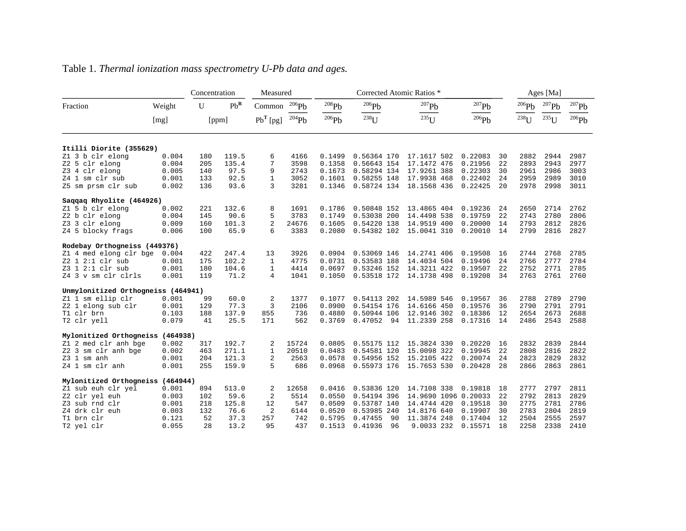|                                    |          | Concentration |        | Measured       |            | Corrected Atomic Ratios * |               |                      |                     |    |            | Ages [Ma]  |                     |  |  |
|------------------------------------|----------|---------------|--------|----------------|------------|---------------------------|---------------|----------------------|---------------------|----|------------|------------|---------------------|--|--|
| Fraction                           | Weight   | $\mathbf{U}$  | $Pb^R$ | Common         | $^{206}Pb$ | $^{208}\mathrm{Pb}$       | $^{206}Pb$    | $^{207}Pb$           | $^{207}\mathrm{Pb}$ |    | 206Pb      | $^{207}Pb$ | $^{207}\mathrm{Pb}$ |  |  |
|                                    | [mg]     | [ppm]         |        | $PbT$ [pg]     | 204Pb      | $^{206}Pb$                | $^{238}$ U    | $^{235}$ U           | $^{206}\mathrm{Pb}$ |    | $^{238}$ U | $^{235}U$  | $^{206}\mathrm{Pb}$ |  |  |
| Itilli Diorite (355629)            |          |               |        |                |            |                           |               |                      |                     |    |            |            |                     |  |  |
| Z1 3 b clr elong                   | 0.004    | 180           | 119.5  | 6              | 4166       | 0.1499                    | 0.56364 170   | 17.1617 502          | 0.22083             | 30 | 2882       | 2944       | 2987                |  |  |
| Z2 5 clr elong                     | 0.004    | 205           | 135.4  | 7              | 3598       | 0.1358                    | 0.56643 154   | 17.1472 476          | 0.21956             | 22 | 2893       | 2943       | 2977                |  |  |
| Z3 4 clr elong                     | 0.005    | 140           | 97.5   | 9              | 2743       | 0.1673                    | 0.58294 134   | 17.9261 388          | 0.22303             | 30 | 2961       | 2986       | 3003                |  |  |
| Z4 1 sm clr sub                    | 0.001    | 133           | 92.5   | 1              | 3052       | 0.1601                    | 0.58255 148   | 17.9938 468          | 0.22402             | 24 | 2959       | 2989       | 3010                |  |  |
| Z5 sm prsm clr sub                 | 0.002    | 136           | 93.6   | 3              | 3281       | 0.1346                    | 0.58724 134   | 18.1568 436          | 0.22425             | 20 | 2978       | 2998       | 3011                |  |  |
| Saqqaq Rhyolite (464926)           |          |               |        |                |            |                           |               |                      |                     |    |            |            |                     |  |  |
| Z1 5 b clr elong                   | 0.002    | 221           | 132.6  | 8              | 1691       | 0.1786                    | 0.50848 152   | 13.4865 404          | 0.19236             | 24 | 2650       | 2714       | 2762                |  |  |
| Z2 b clr elong                     | 0.004    | 145           | 90.6   | 5              | 3783       | 0.1749                    | 0.53038 200   | 14.4498 538          | 0.19759             | 22 | 2743       | 2780       | 2806                |  |  |
| Z3 3 clr elong                     | 0.009    | 160           | 101.3  | $\overline{2}$ | 24676      | 0.1605                    | 0.54220 138   | 14.9519 400          | 0.20000             | 14 | 2793       | 2812       | 2826                |  |  |
| Z4 5 blocky frags                  | 0.006    | 100           | 65.9   | 6              | 3383       | 0.2080                    | 0.54382 102   | 15.0041 310          | 0.20010             | 14 | 2799       | 2816       | 2827                |  |  |
| Rodebay Orthogneiss (449376)       |          |               |        |                |            |                           |               |                      |                     |    |            |            |                     |  |  |
| Z1 4 med elong clr bge             | 0.004    | 422           | 247.4  | 13             | 3926       | 0.0904                    | 0.53069 146   | 14.2741 406          | 0.19508             | 16 | 2744       | 2768       | 2785                |  |  |
| Z2 1 2:1 clr sub                   | 0.001    | 175           | 102.2  | 1              | 4775       | 0.0731                    | 0.53583 188   | 14.4034 504          | 0.19496             | 24 | 2766       | 2777       | 2784                |  |  |
| Z3 1 2:1 clr sub                   | 0.001    | 180           | 104.6  | 1              | 4414       | 0.0697                    | 0.53246 152   | 14.3211 422          | 0.19507             | 22 | 2752       | 2771       | 2785                |  |  |
| Z4 3 v sm clr clrls                | 0.001    | 119           | 71.2   | $\overline{4}$ | 1041       | 0.1050                    | 0.53518 172   | 14.1738 498          | 0.19208             | 34 | 2763       | 2761       | 2760                |  |  |
| Unmylonitized Orthogneiss (464941) |          |               |        |                |            |                           |               |                      |                     |    |            |            |                     |  |  |
| Z1 1 sm ellip clr                  | 0.001    | 99            | 60.0   | 2              | 1377       | 0.1077                    | 0.54113 202   | 14.5989 546          | 0.19567             | 36 | 2788       | 2789       | 2790                |  |  |
| Z2 1 elong sub clr                 | 0.001    | 129           | 77.3   | 3              | 2106       | 0.0900                    | 0.54154 176   | 14.6166 450          | 0.19576             | 36 | 2790       | 2791       | 2791                |  |  |
| T1 clr brn                         | 0.103    | 188           | 137.9  | 855            | 736        | 0.4880                    | 0.50944 106   | 12.9146 302          | 0.18386             | 12 | 2654       | 2673       | 2688                |  |  |
| T2 clr yell                        | 0.079    | 41            | 25.5   | 171            | 562        | 0.3769                    | 0.47052<br>94 | 11.2339 258          | 0.17316             | 14 | 2486       | 2543       | 2588                |  |  |
| Mylonitized Orthogneiss (464938)   |          |               |        |                |            |                           |               |                      |                     |    |            |            |                     |  |  |
| Z1 2 med clr anh bge               | 0.002    | 317           | 192.7  | 2              | 15724      | 0.0805                    | 0.55175 112   | 15.3824 330          | 0.20220             | 16 | 2832       | 2839       | 2844                |  |  |
| Z2 3 sm clr anh bge                | 0.002    | 463           | 271.1  | 1              | 20510      | 0.0483                    | 0.54581 120   | 15.0098 322          | 0.19945             | 22 | 2808       | 2816       | 2822                |  |  |
| $Z3$ 1 sm anh                      | 0.001    | 204           | 121.3  | $\overline{2}$ | 2563       | 0.0578                    | 0.54956 152   | 15.2105 422          | 0.20074             | 24 | 2823       | 2829       | 2832                |  |  |
| Z4 1 sm clr anh                    | 0.001    | 255           | 159.9  | 5              | 686        | 0.0968                    | 0.55973 176   | 15.7653 530          | 0.20428             | 28 | 2866       | 2863       | 2861                |  |  |
| Mylonitized Orthogneiss            | (464944) |               |        |                |            |                           |               |                      |                     |    |            |            |                     |  |  |
| Z1 sub euh clr yel                 | 0.001    | 894           | 513.0  | 2              | 12658      | 0.0416                    | 0.53836 120   | 14.7108 338          | 0.19818             | 18 | 2777       | 2797       | 2811                |  |  |
| Z2 clr yel euh                     | 0.003    | 102           | 59.6   | $\overline{2}$ | 5514       | 0.0550                    | 0.54194 396   | 14.9690 1096 0.20033 |                     | 22 | 2792       | 2813       | 2829                |  |  |
| Z3 sub rnd clr                     | 0.001    | 218           | 125.8  | 12             | 547        | 0.0509                    | 0.53787 140   | 14.4744 420          | 0.19518             | 30 | 2775       | 2781       | 2786                |  |  |
| Z4 drk clr euh                     | 0.003    | 132           | 76.6   | $\overline{2}$ | 6144       | 0.0520                    | 0.53985 240   | 14.8176 640          | 0.19907             | 30 | 2783       | 2804       | 2819                |  |  |
| T1 brn clr                         | 0.121    | 52            | 37.3   | 257            | 742        | 0.5795                    | 0.47455<br>90 | 11.3874 248          | 0.17404             | 12 | 2504       | 2555       | 2597                |  |  |
| T2 yel clr                         | 0.055    | 28            | 13.2   | 95             | 437        | 0.1513                    | 0.41936<br>96 | 9.0033 232           | 0.15571             | 18 | 2258       | 2338       | 2410                |  |  |

## Table 1. *Thermal ionization mass spectrometry U-Pb data and ages.*